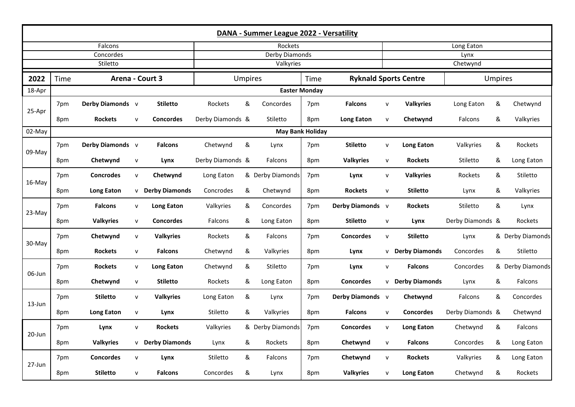| DANA - Summer League 2022 - Versatility |                         |                   |              |                         |                             |   |                  |     |                   |              |                              |                  |   |                  |  |
|-----------------------------------------|-------------------------|-------------------|--------------|-------------------------|-----------------------------|---|------------------|-----|-------------------|--------------|------------------------------|------------------|---|------------------|--|
| Falcons                                 |                         |                   |              |                         | Rockets                     |   |                  |     |                   |              | Long Eaton                   |                  |   |                  |  |
| Concordes<br>Stiletto                   |                         |                   |              |                         | Derby Diamonds<br>Valkyries |   |                  |     |                   |              | Lynx<br>Chetwynd             |                  |   |                  |  |
| Arena - Court 3<br>2022<br>Time         |                         |                   |              |                         | <b>Umpires</b><br>Time      |   |                  |     |                   |              | <b>Ryknald Sports Centre</b> | <b>Umpires</b>   |   |                  |  |
| 18-Apr                                  |                         |                   |              | <b>Easter Monday</b>    |                             |   |                  |     |                   |              |                              |                  |   |                  |  |
| 25-Apr                                  | 7pm                     | Derby Diamonds v  |              | <b>Stiletto</b>         | Rockets                     | & | Concordes        | 7pm | <b>Falcons</b>    | $\mathsf{v}$ | <b>Valkyries</b>             | Long Eaton       | & | Chetwynd         |  |
|                                         | 8pm                     | <b>Rockets</b>    | $\mathsf{v}$ | <b>Concordes</b>        | Derby Diamonds &            |   | Stiletto         | 8pm | <b>Long Eaton</b> | $\mathsf{v}$ | Chetwynd                     | Falcons          | & | Valkyries        |  |
| 02-May                                  | <b>May Bank Holiday</b> |                   |              |                         |                             |   |                  |     |                   |              |                              |                  |   |                  |  |
| $09-Mav$                                | 7pm                     | Derby Diamonds v  |              | <b>Falcons</b>          | Chetwynd                    | & | Lynx             | 7pm | <b>Stiletto</b>   | $\mathsf{v}$ | <b>Long Eaton</b>            | Valkyries        | & | Rockets          |  |
|                                         | 8pm                     | Chetwynd          | ${\sf v}$    | Lynx                    | Derby Diamonds &            |   | Falcons          | 8pm | <b>Valkyries</b>  | $\mathsf{v}$ | <b>Rockets</b>               | Stiletto         | & | Long Eaton       |  |
| 16-May                                  | 7pm                     | <b>Concrodes</b>  | $\mathsf{v}$ | Chetwynd                | Long Eaton                  |   | & Derby Diamonds | 7pm | Lynx              | $\mathsf{v}$ | <b>Valkyries</b>             | Rockets          | & | Stiletto         |  |
|                                         | 8pm                     | <b>Long Eaton</b> |              | <b>v</b> Derby Diamonds | Concrodes                   | & | Chetwynd         | 8pm | <b>Rockets</b>    | $\mathsf{v}$ | <b>Stiletto</b>              | Lynx             | & | Valkyries        |  |
| 23-May                                  | 7pm                     | <b>Falcons</b>    | ${\sf v}$    | <b>Long Eaton</b>       | Valkyries                   | & | Concordes        | 7pm | Derby Diamonds v  |              | <b>Rockets</b>               | Stiletto         | & | Lynx             |  |
|                                         | 8pm                     | <b>Valkyries</b>  | ${\sf V}$    | <b>Concordes</b>        | Falcons                     | & | Long Eaton       | 8pm | <b>Stiletto</b>   | $\mathsf{v}$ | Lynx                         | Derby Diamonds & |   | Rockets          |  |
| 30-May                                  | 7pm                     | Chetwynd          | ${\sf v}$    | <b>Valkyries</b>        | Rockets                     | & | Falcons          | 7pm | <b>Concordes</b>  | $\mathsf{v}$ | <b>Stiletto</b>              | Lynx             |   | & Derby Diamonds |  |
|                                         | 8pm                     | <b>Rockets</b>    | $\mathsf{v}$ | <b>Falcons</b>          | Chetwynd                    | & | Valkyries        | 8pm | Lynx              | v            | <b>Derby Diamonds</b>        | Concordes        | & | Stiletto         |  |
| 06-Jun                                  | 7pm                     | <b>Rockets</b>    | $\mathsf{v}$ | <b>Long Eaton</b>       | Chetwynd                    | & | Stiletto         | 7pm | Lynx              | $\mathsf{v}$ | <b>Falcons</b>               | Concordes        |   | & Derby Diamonds |  |
|                                         | 8pm                     | Chetwynd          | ${\sf v}$    | <b>Stiletto</b>         | Rockets                     | & | Long Eaton       | 8pm | <b>Concordes</b>  |              | <b>v</b> Derby Diamonds      | Lynx             | & | Falcons          |  |
| 13-Jun                                  | 7pm                     | <b>Stiletto</b>   | ${\sf v}$    | <b>Valkyries</b>        | Long Eaton                  | & | Lynx             | 7pm | Derby Diamonds v  |              | Chetwynd                     | Falcons          | & | Concordes        |  |
|                                         | 8pm                     | <b>Long Eaton</b> | ${\sf v}$    | Lynx                    | Stiletto                    | & | Valkyries        | 8pm | <b>Falcons</b>    | $\mathsf{v}$ | <b>Concordes</b>             | Derby Diamonds & |   | Chetwynd         |  |
| 20-Jun                                  | 7pm                     | Lynx              | $\mathsf{V}$ | <b>Rockets</b>          | Valkyries                   |   | & Derby Diamonds | 7pm | <b>Concordes</b>  | $\mathsf{v}$ | <b>Long Eaton</b>            | Chetwynd         | & | Falcons          |  |
|                                         | 8pm                     | <b>Valkyries</b>  |              | <b>v</b> Derby Diamonds | Lynx                        | & | Rockets          | 8pm | Chetwynd          | $\mathsf{v}$ | <b>Falcons</b>               | Concordes        | & | Long Eaton       |  |
| 27-Jun                                  | 7pm                     | <b>Concordes</b>  | ${\sf v}$    | Lynx                    | Stiletto                    | & | Falcons          | 7pm | Chetwynd          | $\mathsf{v}$ | <b>Rockets</b>               | Valkyries        | & | Long Eaton       |  |
|                                         | 8pm                     | <b>Stiletto</b>   | $\mathsf{v}$ | <b>Falcons</b>          | Concordes                   | & | Lynx             | 8pm | <b>Valkyries</b>  | $\mathsf{v}$ | Long Eaton                   | Chetwynd         | & | Rockets          |  |